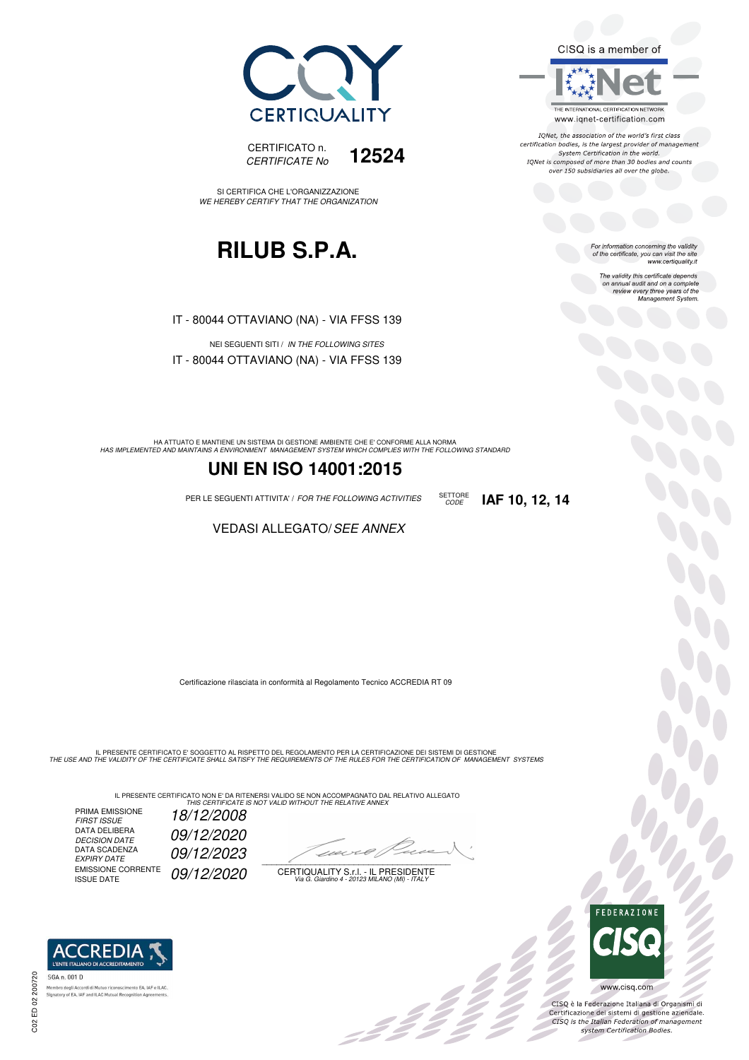CISQ is a member of



IONet, the association of the world's first class certification bodies, is the largest provider of management System Certification in the world. IQNet is composed of more than 30 bodies and counts over 150 subsidiaries all over the globe.

CODE **IAF 10, 12, 14**

For information concerning the validity<br>of the certificate, you can visit the site<br>www.certiquality.it

The validity this certificate depends on annual audit and on a complete review every three years of the Management System.





SI CERTIFICA CHE L'ORGANIZZAZIONE WE HEREBY CERTIFY THAT THE ORGANIZATION

# **RILUB S.P.A.**

IT - 80044 OTTAVIANO (NA) - VIA FFSS 139

NEI SEGUENTI SITI / IN THE FOLLOWING SITES IT - 80044 OTTAVIANO (NA) - VIA FFSS 139

HA ATTUATO E MANTIENE UN SISTEMA DI GESTIONE AMBIENTE CHE E' CONFORME ALLA NORMA<br>HAS IMPLEMENTED AND MAINTAINS A ENVIRONMENT MANAGEMENT SYSTEM WHICH COMPLIES WITH THE FOLLOWING STANDARD

### **UNI EN ISO 14001:2015**

PER LE SEGUENTI ATTIVITA' / FOR THE FOLLOWING ACTIVITIES SETTORE

#### VEDASI ALLEGATO/SEE ANNEX

Certificazione rilasciata in conformità al Regolamento Tecnico ACCREDIA RT 09

IL PRESENTE CERTIFICATO E' SOGGETTO AL RISPETTO DEL REGOLAMENTO PER LA CERTIFICAZIONE DEI SISTEMI DI GESTIONE<br>THE USE AND THE VALIDITY OF THE CERTIFICATE SHALL SATISFY THE REQUIREMENTS OF THE RULES FOR THE CERTIFICATION OF

IL PRESENTE CERTIFICATO NON E' DA RITENERSI VALIDO SE NON ACCOMPAGNATO DAL RELATIVO ALLEGATO<br>*THIS CERTIFICATE IS NOT VALID WITHOUT THE RELATIVE ANNEX* 

PRIMA EMISSIONE FIRST ISSUE 18/12/2008 DATA DELIBERA 09/12/2020 DECISION DATE<br>DATA SCADENZA<br>EXPIRY DATE 09/12/2023 EMISSIONE CORRENTE<br>ISSUE DATE 09/12/2020

 $\overline{\phantom{a}}$ 

, 3 2 2 2 2

CERTIQUALITY S.r.l. - IL PRESIDENTE Via G. Giardino 4 - 20123 MILANO (MI) - ITALY



CISQ è la Federazione Italiana di Organismi di Certificazione dei sistemi di gestione aziendale.<br>CISQ is the Italian Federation of management system Certification Bodies.

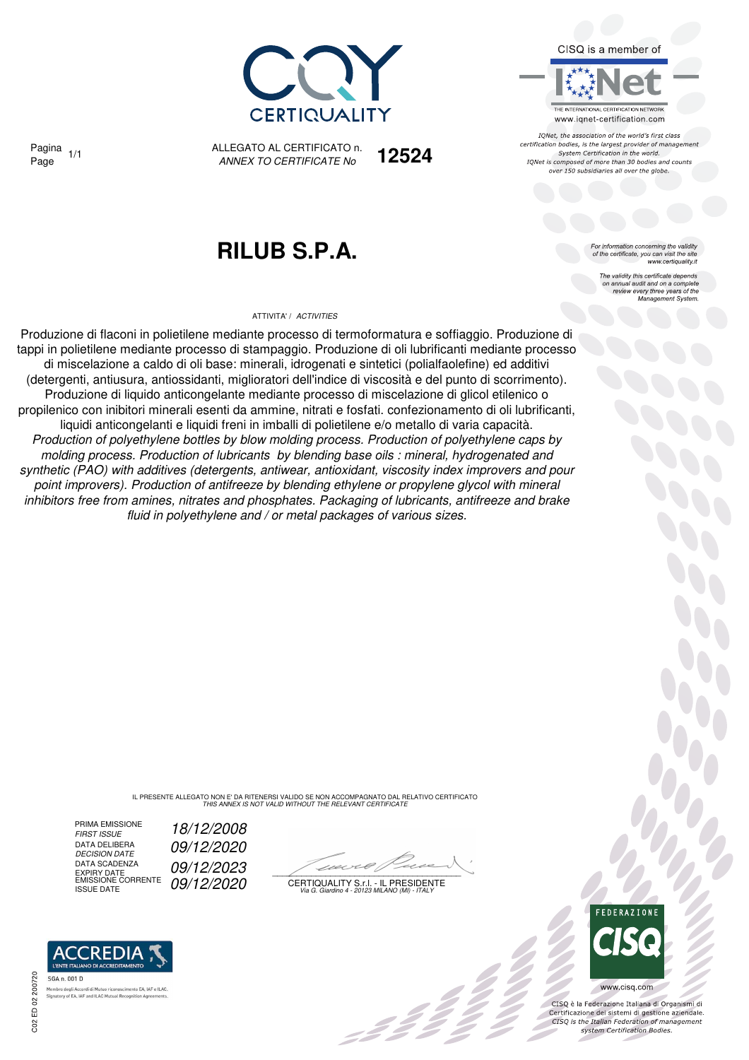

CISQ is a member of

THE INTERNATIONAL CERTIFICATION NETWORK www.iqnet-certification.com

IONet, the association of the world's first class certification bodies, is the largest provider of management System Certification in the world. IQNet is composed of more than 30 bodies and counts over 150 subsidiaries all over the globe.

> For information concerning the validity<br>of the certificate, you can visit the site<br>www.certiquality.it The validity this certificate depends on annual audit and on a complete review every three years of the Management System.

Pagina

ALLEGATO AL CERTIFICATO n. *ANNEX TO CERTIFICATE No* Page 1/1 **12524**

# **RILUB S.P.A.**

#### ATTIVITA' / *ACTIVITIES*

Produzione di flaconi in polietilene mediante processo di termoformatura e soffiaggio. Produzione di tappi in polietilene mediante processo di stampaggio. Produzione di oli lubrificanti mediante processo di miscelazione a caldo di oli base: minerali, idrogenati e sintetici (polialfaolefine) ed additivi (detergenti, antiusura, antiossidanti, miglioratori dell'indice di viscosità e del punto di scorrimento). Produzione di liquido anticongelante mediante processo di miscelazione di glicol etilenico o propilenico con inibitori minerali esenti da ammine, nitrati e fosfati. confezionamento di oli lubrificanti, liquidi anticongelanti e liquidi freni in imballi di polietilene e/o metallo di varia capacità. *Production of polyethylene bottles by blow molding process. Production of polyethylene caps by molding process. Production of lubricants by blending base oils : mineral, hydrogenated and synthetic (PAO) with additives (detergents, antiwear, antioxidant, viscosity index improvers and pour point improvers). Production of antifreeze by blending ethylene or propylene glycol with mineral inhibitors free from amines, nitrates and phosphates. Packaging of lubricants, antifreeze and brake fluid in polyethylene and / or metal packages of various sizes.*

> IL PRESENTE ALLEGATO NON E' DA RITENERSI VALIDO SE NON ACCOMPAGNATO DAL RELATIVO CERTIFICATO *THIS ANNEX IS NOT VALID WITHOUT THE RELEVANT CERTIFICATE*

PRIMA EMISSIONE<br>FIRST ISSUE DATA DELIBERA<br>DECISION DATE DATA SCADENZA DATA SCADENZA **09/12/2023**<br>EXPIRY DATE<br>EMISSIONE CORRENTE 09/12/2020 CERTIQUAL





 $\mathcal{L}$ 

CERTIQUALITY S.r.l. - IL PRESIDENTE EMISSIONE CORRENTE ISSUE DATE *09/12/2020 Via G. Giardino 4 - 20123 MILANO (MI) - ITALY*



 $\frac{1}{2}$ 

CISQ è la Federazione Italiana di Organismi di Certificazione dei sistemi di gestione aziendale.<br>CISQ is the Italian Federation of management system Certification Bodies.

**REDIA**: SGA n. 001 D Signatory of EA, IAF and ILAC Mu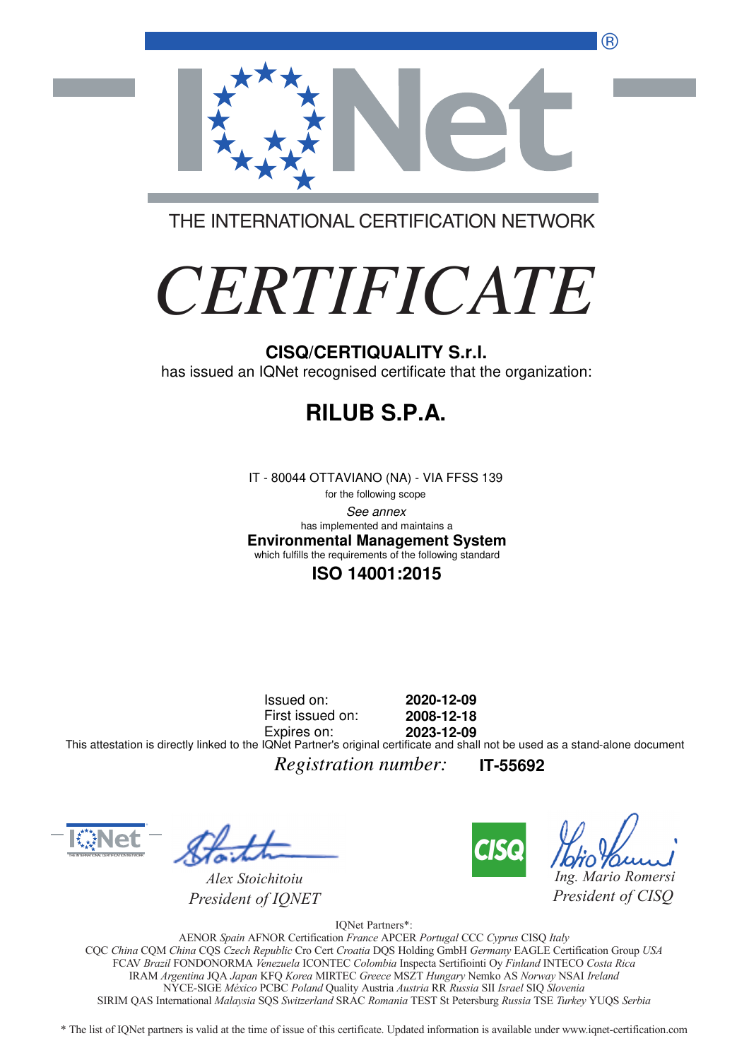®



THE INTERNATIONAL CERTIFICATION NETWORK

# *CERTIFICATE*

#### **CISQ/CERTIQUALITY S.r.l.**

has issued an IQNet recognised certificate that the organization:

# **RILUB S.P.A.**

IT - 80044 OTTAVIANO (NA) - VIA FFSS 139

for the following scope See annex **Environmental Management System** has implemented and maintains a which fulfills the requirements of the following standard

#### **ISO 14001:2015**

Issued on: First issued on: Expires on: **2020-12-09 2008-12-18 2023-12-09** This attestation is directly linked to the IQNet Partner's original certificate and shall not be used as a stand-alone document

*Registration number:* **IT-55692**



*Alex Stoichitoiu President of IQNET*



*Ing. Mario Romersi*

*President of CISQ* 

IQNet Partners\*:

AENOR *Spain* AFNOR Certification *France* APCER *Portugal* CCC *Cyprus* CISQ *Italy* CQC *China* CQM *China* CQS *Czech Republic* Cro Cert *Croatia* DQS Holding GmbH *Germany* EAGLE Certification Group *USA* FCAV *Brazil* FONDONORMA *Venezuela* ICONTEC *Colombia* Inspecta Sertifiointi Oy *Finland* INTECO *Costa Rica* IRAM *Argentina* JQA *Japan* KFQ *Korea* MIRTEC *Greece* MSZT *Hungary* Nemko AS *Norway* NSAI *Ireland* NYCE-SIGE *México* PCBC *Poland* Quality Austria *Austria* RR *Russia* SII *Israel* SIQ *Slovenia* SIRIM QAS International *Malaysia* SQS *Switzerland* SRAC *Romania* TEST St Petersburg *Russia* TSE *Turkey* YUQS *Serbia*

\* The list of IQNet partners is valid at the time of issue of this certificate. Updated information is available under www.iqnet-certification.com